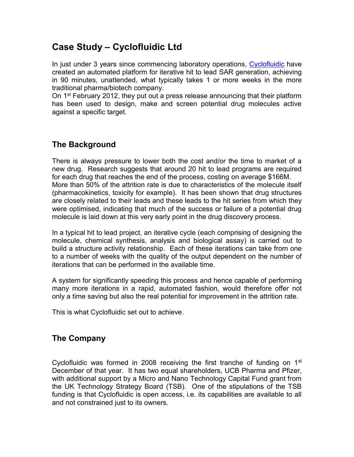# **Case Study – Cyclofluidic Ltd**

In just under 3 years since commencing laboratory operations, [Cyclofluidic](http://cyclofluidic.co.uk/) have created an automated platform for iterative hit to lead SAR generation, achieving in 90 minutes, unattended, what typically takes 1 or more weeks in the more traditional pharma/biotech company.

On 1st February 2012, they put out a press release announcing that their platform has been used to design, make and screen potential drug molecules active against a specific target.

### **The Background**

There is always pressure to lower both the cost and/or the time to market of a new drug. Research suggests that around 20 hit to lead programs are required for each drug that reaches the end of the process, costing on average \$166M. More than 50% of the attrition rate is due to characteristics of the molecule itself (pharmacokinetics, toxicity for example). It has been shown that drug structures are closely related to their leads and these leads to the hit series from which they were optimised, indicating that much of the success or failure of a potential drug molecule is laid down at this very early point in the drug discovery process.

In a typical hit to lead project, an iterative cycle (each comprising of designing the molecule, chemical synthesis, analysis and biological assay) is carried out to build a structure activity relationship. Each of these iterations can take from one to a number of weeks with the quality of the output dependent on the number of iterations that can be performed in the available time.

A system for significantly speeding this process and hence capable of performing many more iterations in a rapid, automated fashion, would therefore offer not only a time saving but also the real potential for improvement in the attrition rate.

This is what Cyclofluidic set out to achieve.

#### **The Company**

Cyclofluidic was formed in 2008 receiving the first tranche of funding on 1<sup>st</sup> December of that year. It has two equal shareholders, UCB Pharma and Pfizer, with additional support by a Micro and Nano Technology Capital Fund grant from the UK Technology Strategy Board (TSB). One of the stipulations of the TSB funding is that Cyclofluidic is open access, i.e. its capabilities are available to all and not constrained just to its owners.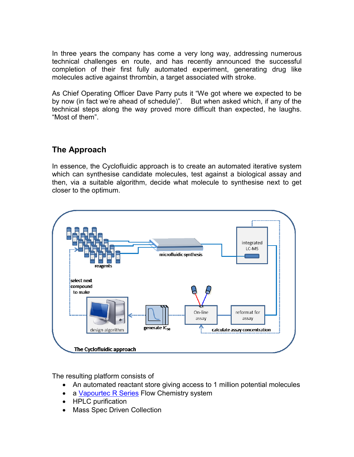In three years the company has come a very long way, addressing numerous technical challenges en route, and has recently announced the successful completion of their first fully automated experiment, generating drug like molecules active against thrombin, a target associated with stroke.

As Chief Operating Officer Dave Parry puts it "We got where we expected to be by now (in fact we're ahead of schedule)". But when asked which, if any of the technical steps along the way proved more difficult than expected, he laughs. "Most of them".

## **The Approach**

In essence, the Cyclofluidic approach is to create an automated iterative system which can synthesise candidate molecules, test against a biological assay and then, via a suitable algorithm, decide what molecule to synthesise next to get closer to the optimum.



The resulting platform consists of

- An automated reactant store giving access to 1 million potential molecules
- a [Vapourtec R Series](http://www.vapourtec.co.uk/products/rseriessystem) Flow Chemistry system
- HPLC purification
- Mass Spec Driven Collection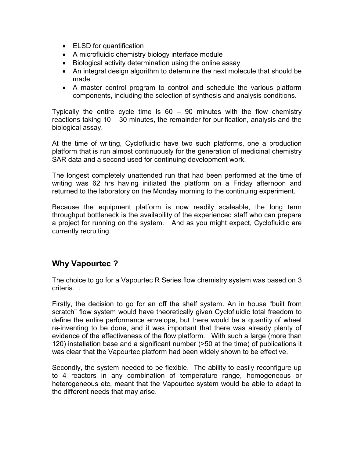- ELSD for quantification
- A microfluidic chemistry biology interface module
- Biological activity determination using the online assay
- An integral design algorithm to determine the next molecule that should be made
- A master control program to control and schedule the various platform components, including the selection of synthesis and analysis conditions.

Typically the entire cycle time is 60 – 90 minutes with the flow chemistry reactions taking 10 – 30 minutes, the remainder for purification, analysis and the biological assay.

At the time of writing, Cyclofluidic have two such platforms, one a production platform that is run almost continuously for the generation of medicinal chemistry SAR data and a second used for continuing development work.

The longest completely unattended run that had been performed at the time of writing was 62 hrs having initiated the platform on a Friday afternoon and returned to the laboratory on the Monday morning to the continuing experiment.

Because the equipment platform is now readily scaleable, the long term throughput bottleneck is the availability of the experienced staff who can prepare a project for running on the system. And as you might expect, Cyclofluidic are currently recruiting.

#### **Why Vapourtec ?**

The choice to go for a Vapourtec R Series flow chemistry system was based on 3 criteria. .

Firstly, the decision to go for an off the shelf system. An in house "built from scratch" flow system would have theoretically given Cyclofluidic total freedom to define the entire performance envelope, but there would be a quantity of wheel re-inventing to be done, and it was important that there was already plenty of evidence of the effectiveness of the flow platform. With such a large (more than 120) installation base and a significant number (>50 at the time) of publications it was clear that the Vapourtec platform had been widely shown to be effective.

Secondly, the system needed to be flexible. The ability to easily reconfigure up to 4 reactors in any combination of temperature range, homogeneous or heterogeneous etc, meant that the Vapourtec system would be able to adapt to the different needs that may arise.